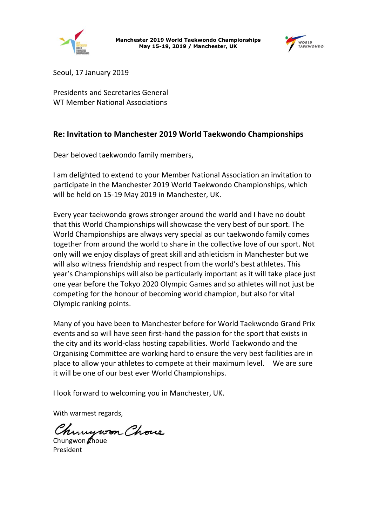



Seoul, 17 January 2019

Presidents and Secretaries General WT Member National Associations

# **Re: Invitation to Manchester 2019 World Taekwondo Championships**

Dear beloved taekwondo family members,

I am delighted to extend to your Member National Association an invitation to participate in the Manchester 2019 World Taekwondo Championships, which will be held on 15-19 May 2019 in Manchester, UK.

Every year taekwondo grows stronger around the world and I have no doubt that this World Championships will showcase the very best of our sport. The World Championships are always very special as our taekwondo family comes together from around the world to share in the collective love of our sport. Not only will we enjoy displays of great skill and athleticism in Manchester but we will also witness friendship and respect from the world's best athletes. This year's Championships will also be particularly important as it will take place just one year before the Tokyo 2020 Olympic Games and so athletes will not just be competing for the honour of becoming world champion, but also for vital Olympic ranking points.

Many of you have been to Manchester before for World Taekwondo Grand Prix events and so will have seen first-hand the passion for the sport that exists in the city and its world-class hosting capabilities. World Taekwondo and the Organising Committee are working hard to ensure the very best facilities are in place to allow your athletes to compete at their maximum level. We are sure it will be one of our best ever World Championships.

I look forward to welcoming you in Manchester, UK.

With warmest regards,

Chungwon Chove

President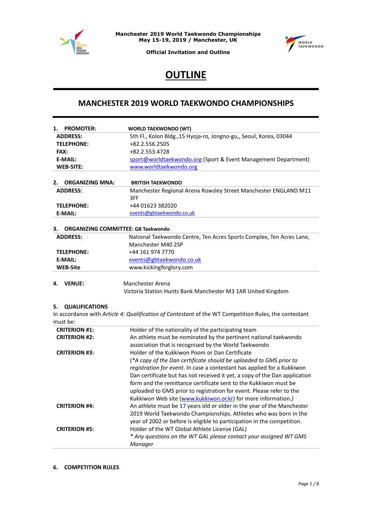



**Official Invitation and Outline**

# **OUTLINE**

## **MANCHESTER 2019 WORLD TAEKWONDO CHAMPIONSHIPS**

| <b>PROMOTER:</b><br>1.       | <b>WORLD TAEKWONDO (WT)</b>                                                                           |
|------------------------------|-------------------------------------------------------------------------------------------------------|
| <b>ADDRESS:</b>              | 5th Fl., Kolon Bldg., 15 Hyoja-ro, Jongno-gu,, Seoul, Korea, 03044                                    |
| <b>TELEPHONE:</b>            | +82.2.556.2505                                                                                        |
| FAX:                         | +82.2.553.4728                                                                                        |
| <b>E-MAIL:</b>               | sport@worldtaekwondo.org (Sport & Event Management Department)                                        |
| <b>WEB-SITE:</b>             | www.worldtaekwondo.org                                                                                |
| <b>ORGANIZING MNA:</b><br>2. | <b>BRITISH TAEKWONDO</b>                                                                              |
| <b>ADDRESS:</b>              | Manchester Regional Arena Rowsley Street Manchester ENGLAND M11                                       |
|                              | 3FF                                                                                                   |
| <b>TELEPHONE:</b>            | +44 01623 382020                                                                                      |
| <b>E-MAIL:</b>               | events@gbtaekwondo.co.uk                                                                              |
|                              |                                                                                                       |
| З.                           | <b>ORGANIZING COMMITTEE: GB Taekwondo</b>                                                             |
| <b>ADDRESS:</b>              | National Taekwondo Centre, Ten Acres Sports Complex, Ten Acres Lane,                                  |
|                              | Manchester M40 2SP                                                                                    |
| <b>TELEPHONE:</b>            | +44 161 974 7770                                                                                      |
| <b>E-MAIL:</b>               | events@gbtaekwondo.co.uk                                                                              |
| <b>WEB-Site</b>              | www.kickingforglory.com                                                                               |
|                              |                                                                                                       |
| <b>VENUE:</b><br>4.          | Manchester Arena                                                                                      |
|                              | Victoria Station Hunts Bank Manchester M3 1AR United Kingdom                                          |
| <b>QUALIFICATIONS</b><br>5.  |                                                                                                       |
|                              | In accordance with Article 4: Qualification of Contestant of the WT Competition Rules, the contestant |
| must be:                     |                                                                                                       |
| <b>CRITERION #1:</b>         | Holder of the nationality of the participating team                                                   |
| <b>CRITERION #2:</b>         | An athlete must be nominated by the pertinent national taekwondo                                      |
|                              | association that is recognised by the World Taekwondo                                                 |
| <b>CRITERION #3:</b>         | Holder of the Kukkiwon Poom or Dan Certificate                                                        |
|                              | (*A copy of the Dan certificate should be uploaded to GMS prior to                                    |
|                              | registration for event. In case a contestant has applied for a Kukkiwon                               |
|                              | Dan certificate but has not received it yet, a copy of the Dan application                            |
|                              |                                                                                                       |
|                              | form and the remittance certificate sent to the Kukkiwon must be                                      |
|                              | uploaded to GMS prior to registration for event. Please refer to the                                  |
|                              | Kukkiwon Web site (www.kukkiwon.or.kr) for more information.)                                         |
| <b>CRITERION #4:</b>         | An athlete must be 17 years old or older in the year of the Manchester                                |
|                              | 2019 World Taekwondo Championships. Athletes who was born in the                                      |
|                              | year of 2002 or before is eligible to participation in the competition.                               |
| <b>CRITERION #5:</b>         | Holder of the WT Global Athlete License (GAL)                                                         |
|                              | * Any questions on the WT GAL please contact your assigned WT GMS                                     |
|                              | Manager                                                                                               |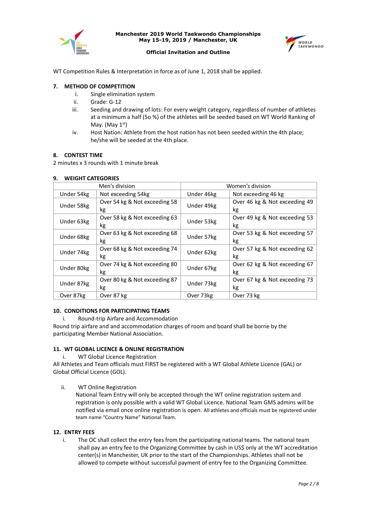



## **Official Invitation and Outline**

WT Competition Rules & Interpretation in force as of June 1, 2018 shall be applied.

## **7. METHOD OF COMPETITION**

- i. Single elimination system
- ii. Grade: G-12
- iii. Seeding and drawing of lots: For every weight category, regardless of number of athletes at a minimum a half (5o %) of the athletes will be seeded based on WT World Ranking of May. (May 1<sup>st</sup>)
- iv. Host Nation: Athlete from the host nation has not been seeded within the 4th place; he/she will be seeded at the 4th place.

## **8. CONTEST TIME**

**9. WEIGHT CATEGORIES**

2 minutes x 3 rounds with 1 minute break

| Men's division |                                     | Women's division |                                     |
|----------------|-------------------------------------|------------------|-------------------------------------|
| Under 54kg     | Not exceeding 54kg                  | Under 46kg       | Not exceeding 46 kg                 |
| Under 58kg     | Over 54 kg & Not exceeding 58<br>kg | Under 49kg       | Over 46 kg & Not exceeding 49<br>kg |
| Under 63kg     | Over 58 kg & Not exceeding 63<br>kg | Under 53kg       | Over 49 kg & Not exceeding 53<br>kg |
| Under 68kg     | Over 63 kg & Not exceeding 68<br>kg | Under 57kg       | Over 53 kg & Not exceeding 57<br>kg |
| Under 74kg     | Over 68 kg & Not exceeding 74<br>kg | Under 62kg       | Over 57 kg & Not exceeding 62<br>kg |
| Under 80kg     | Over 74 kg & Not exceeding 80<br>kg | Under 67kg       | Over 62 kg & Not exceeding 67<br>kg |
| Under 87kg     | Over 80 kg & Not exceeding 87<br>kg | Under 73kg       | Over 67 kg & Not exceeding 73<br>kg |
| Over 87kg      | Over 87 kg                          | Over 73kg        | Over 73 kg                          |

## **10. CONDITIONS FOR PARTICIPATING TEAMS**

i. Round-trip Airfare and Accommodation

Round trip airfare and and accommodation charges of room and board shall be borne by the participating Member National Association.

## **11. WT GLOBAL LICENCE & ONLINE REGISTRATION**

i. WT Global Licence Registration

All Athletes and Team officials must FIRST be registered with a WT Global Athlete Licence (GAL) or Global Official Licence (GOL).

ii. WT Online Registration

National Team Entry will only be accepted through the WT online registration system and registration is only possible with a valid WT Global Licence. National Team GMS admins will be notified via email once online registration is open. All athletes and officials must be registered under team name "Country Name" National Team.

## **12. ENTRY FEES**

i. The OC shall collect the entry fees from the participating national teams. The national team shall pay an entry fee to the Organizing Committee by cash in US\$ only at the WT accreditation center(s) in Manchester, UK prior to the start of the Championships. Athletes shall not be allowed to compete without successful payment of entry fee to the Organizing Committee.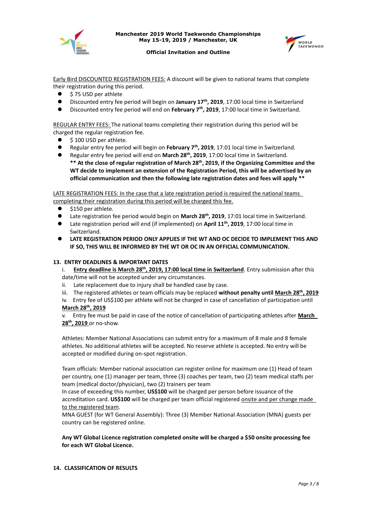



## **Official Invitation and Outline**

Early Bird DISCOUNTED REGISTRATION FEES: A discount will be given to national teams that complete their registration during this period.

- \$75 USD per athlete
- Discounted entry fee period will begin on January 17<sup>th</sup>, 2019, 17:00 local time in Switzerland
- Discounted entry fee period will end on **February 7th, 2019**, 17:00 local time in Switzerland.

REGULAR ENTRY FEES: The national teams completing their registration during this period will be charged the regular registration fee.

- $\bullet$  \$100 USD per athlete.
- Regular entry fee period will begin on **February 7th, 2019**, 17:01 local time in Switzerland.
- Regular entry fee period will end on **March 28th, 2019**, 17:00 local time in Switzerland. **\*\* At the close of regular registration of March 28th, 2019, if the Organizing Committee and the WT decide to implement an extension of the Registration Period, this will be advertised by an official communication and then the following late registration dates and fees will apply \*\***

LATE REGISTRATION FEES: In the case that a late registration period is required the national teams completing their registration during this period will be charged this fee.

- \$150 per athlete.
- Late registration fee period would begin on **March 28th, 2019**, 17:01 local time in Switzerland.
- Late registration period will end (if implemented) on **April 11th, 2019**, 17:00 local time in Switzerland.
- **LATE REGISTRATION PERIOD ONLY APPLIES IF THE WT AND OC DECIDE TO IMPLEMENT THIS AND IF SO, THIS WILL BE INFORMED BY THE WT OR OC IN AN OFFICIAL COMMUNICATION.**

## **13. ENTRY DEADLINES & IMPORTANT DATES**

i. **Entry deadline is March 28th, 2019, 17:00 local time in Switzerland**. Entry submission after this date/time will not be accepted under any circumstances.

- ii. Late replacement due to injury shall be handled case by case.
- iii. The registered athletes or team officials may be replaced **without penalty until March 28th, 2019**
- iv. Entry fee of US\$100 per athlete will not be charged in case of cancellation of participation until

## **March 28th , 2019**

v. Entry fee must be paid in case of the notice of cancellation of participating athletes after **March 28th, 2019** or no-show.

Athletes: Member National Associations can submit entry for a maximum of 8 male and 8 female athletes. No additional athletes will be accepted. No reserve athlete is accepted. No entry will be accepted or modified during on-spot registration.

Team officials: Member national association can register online for maximum one (1) Head of team per country, one (1) manager per team, three (3) coaches per team, two (2) team medical staffs per team (medical doctor/physician), two (2) trainers per team

In case of exceeding this number, **US\$100** will be charged per person before issuance of the accreditation card. **US\$100** will be charged per team official registered onsite and per change made to the registered team.

MNA GUEST (for WT General Assembly): Three (3) Member National Association (MNA) guests per country can be registered online.

## **Any WT Global Licence registration completed onsite will be charged a \$50 onsite processing fee for each WT Global Licence.**

## **14. CLASSIFICATION OF RESULTS**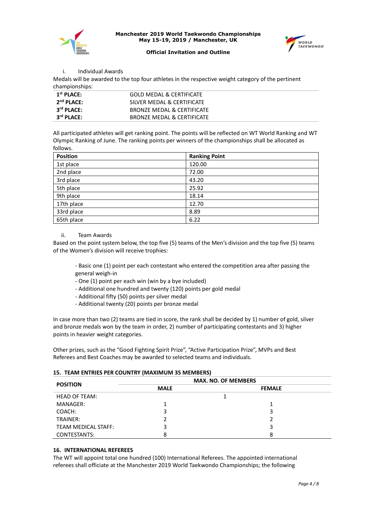



#### **Official Invitation and Outline**

#### i. Individual Awards

Medals will be awarded to the top four athletes in the respective weight category of the pertinent championships:

All participated athletes will get ranking point. The points will be reflected on WT World Ranking and WT Olympic Ranking of June. The ranking points per winners of the championships shall be allocated as follows.

| <b>Position</b> | <b>Ranking Point</b> |
|-----------------|----------------------|
| 1st place       | 120.00               |
| 2nd place       | 72.00                |
| 3rd place       | 43.20                |
| 5th place       | 25.92                |
| 9th place       | 18.14                |
| 17th place      | 12.70                |
| 33rd place      | 8.89                 |
| 65th place      | 6.22                 |

## ii. Team Awards

Based on the point system below, the top five (5) teams of the Men's division and the top five (5) teams of the Women's division will receive trophies:

- Basic one (1) point per each contestant who entered the competition area after passing the general weigh-in

- One (1) point per each win (win by a bye included)
- Additional one hundred and twenty (120) points per gold medal
- Additional fifty (50) points per silver medal
- Additional twenty (20) points per bronze medal

In case more than two (2) teams are tied in score, the rank shall be decided by 1) number of gold, silver and bronze medals won by the team in order, 2) number of participating contestants and 3) higher points in heavier weight categories.

Other prizes, such as the "Good Fighting Spirit Prize", "Active Participation Prize", MVPs and Best Referees and Best Coaches may be awarded to selected teams and individuals.

#### **15. TEAM ENTRIES PER COUNTRY (MAXIMUM 35 MEMBERS)**

|                      |             | <b>MAX. NO. OF MEMBERS</b> |  |
|----------------------|-------------|----------------------------|--|
| <b>POSITION</b>      | <b>MALE</b> | <b>FEMALE</b>              |  |
| <b>HEAD OF TEAM:</b> |             |                            |  |
| MANAGER:             |             |                            |  |
| COACH:               | 3           | 3                          |  |
| TRAINER:             |             |                            |  |
| TEAM MEDICAL STAFF:  | 3           | 3                          |  |
| <b>CONTESTANTS:</b>  |             |                            |  |

## **16. INTERNATIONAL REFEREES**

The WT will appoint total one hundred (100) International Referees. The appointed international referees shall officiate at the Manchester 2019 World Taekwondo Championships; the following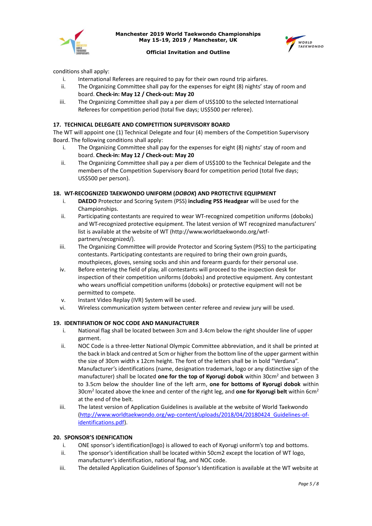



## **Official Invitation and Outline**

conditions shall apply:

- i. International Referees are required to pay for their own round trip airfares.
- ii. The Organizing Committee shall pay for the expenses for eight (8) nights' stay of room and board. **Check-in: May 12 / Check-out: May 20**
- iii. The Organizing Committee shall pay a per diem of US\$100 to the selected International Referees for competition period (total five days; US\$500 per referee).

## **17. TECHNICAL DELEGATE AND COMPETITION SUPERVISORY BOARD**

The WT will appoint one (1) Technical Delegate and four (4) members of the Competition Supervisory Board. The following conditions shall apply:

- i. The Organizing Committee shall pay for the expenses for eight (8) nights' stay of room and board. **Check-in: May 12 / Check-out: May 20**
- ii. The Organizing Committee shall pay a per diem of US\$100 to the Technical Delegate and the members of the Competition Supervisory Board for competition period (total five days; US\$500 per person).

## **18. WT-RECOGNIZED TAEKWONDO UNIFORM (***DOBOK***) AND PROTECTIVE EQUIPMENT**

- i. **DAEDO** Protector and Scoring System (PSS) **including PSS Headgear** will be used for the Championships.
- ii. Participating contestants are required to wear WT-recognized competition uniforms (doboks) and WT-recognized protective equipment. The latest version of WT recognized manufacturers' list is available at the website of WT [\(http://www.worldtaekwondo.org/wtf](http://www.worldtaekwondo.org/wtf-partners/recognized/)[partners/recognized/\)](http://www.worldtaekwondo.org/wtf-partners/recognized/).
- iii. The Organizing Committee will provide Protector and Scoring System (PSS) to the participating contestants. Participating contestants are required to bring their own groin guards, mouthpieces, gloves, sensing socks and shin and forearm guards for their personal use.
- iv. Before entering the field of play, all contestants will proceed to the inspection desk for inspection of their competition uniforms (doboks) and protective equipment. Any contestant who wears unofficial competition uniforms (doboks) or protective equipment will not be permitted to compete.
- v. Instant Video Replay (IVR) System will be used.
- vi. Wireless communication system between center referee and review jury will be used.

## **19. IDENTIFIATION OF NOC CODE AND MANUFACTURER**

- i. National flag shall be located between 3cm and 3.4cm below the right shoulder line of upper garment.
- ii. NOC Code is a three-letter National Olympic Committee abbreviation, and it shall be printed at the back in black and centred at 5cm or higher from the bottom line of the upper garment within the size of 30cm width x 12cm height. The font of the letters shall be in bold "Verdana". Manufacturer's identifications (name, designation trademark, logo or any distinctive sign of the manufacturer) shall be located **one for the top of Kyorugi dobok** within 30cm<sup>2</sup> and between 3 to 3.5cm below the shoulder line of the left arm, **one for bottoms of Kyorugi dobok** within 30cm<sup>2</sup> located above the knee and center of the right leg, and **one for Kyorugi belt** within 6cm<sup>2</sup> at the end of the belt.
- iii. The latest version of Application Guidelines is available at the website of World Taekwondo [\(http://www.worldtaekwondo.org/wp-content/uploads/2018/04/20180424\\_Guidelines-of](http://www.worldtaekwondo.org/wp-content/uploads/2018/04/20180424_Guidelines-of-identifications.pdf)[identifications.pdf\)](http://www.worldtaekwondo.org/wp-content/uploads/2018/04/20180424_Guidelines-of-identifications.pdf).

## **20. SPONSOR'S IDENFICATION**

- i. ONE sponsor's identification(logo) is allowed to each of Kyorugi uniform's top and bottoms.
- ii. The sponsor's identification shall be located within 50cm2 except the location of WT logo, manufacturer's identification, national flag, and NOC code.
- iii. The detailed Application Guidelines of Sponsor's Identification is available at the WT website at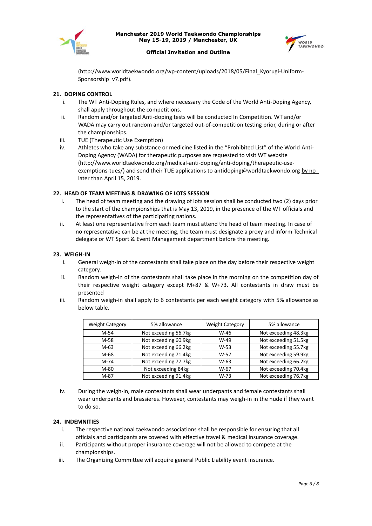



## **Official Invitation and Outline**

[\(http://www.worldtaekwondo.org/wp-content/uploads/2018/05/Final\\_Kyorugi-Uniform-](http://www.worldtaekwondo.org/wp-content/uploads/2018/05/Final_Kyorugi-Uniform-Sponsorship_v7.pdf)[Sponsorship\\_v7.pdf\)](http://www.worldtaekwondo.org/wp-content/uploads/2018/05/Final_Kyorugi-Uniform-Sponsorship_v7.pdf).

## **21. DOPING CONTROL**

- i. The WT Anti-Doping Rules, and where necessary the Code of the World Anti-Doping Agency, shall apply throughout the competitions.
- ii. Random and/or targeted Anti-doping tests will be conducted In Competition. WT and/or WADA may carry out random and/or targeted out-of-competition testing prior, during or after the championships.
- iii. TUE (Therapeutic Use Exemption)
- iv. Athletes who take any substance or medicine listed in the "Prohibited List" of the World Anti-Doping Agency (WADA) for therapeutic purposes are requested to visit WT website [\(http://www.worldtaekwondo.org/medical-anti-doping/anti-doping/therapeutic-use](http://www.worldtaekwondo.org/medical-anti-doping/anti-doping/therapeutic-use-exemptions-tues/)[exemptions-tues/\)](http://www.worldtaekwondo.org/medical-anti-doping/anti-doping/therapeutic-use-exemptions-tues/) and send their TUE applications to antidopin[g@worldtaekwondo.org](mailto:marcoienna@wtf.org) by no later than April 15, 2019.

## **22. HEAD OF TEAM MEETING & DRAWING OF LOTS SESSION**

- i. The head of team meeting and the drawing of lots session shall be conducted two (2) days prior to the start of the championships that is May 13, 2019, in the presence of the WT officials and the representatives of the participating nations.
- ii. At least one representative from each team must attend the head of team meeting. In case of no representative can be at the meeting, the team must designate a proxy and inform Technical delegate or WT Sport & Event Management department before the meeting.

## **23. WEIGH-IN**

- i. General weigh-in of the contestants shall take place on the day before their respective weight category.
- ii. Random weigh-in of the contestants shall take place in the morning on the competition day of their respective weight category except M+87 & W+73. All contestants in draw must be presented
- iii. Random weigh-in shall apply to 6 contestants per each weight category with 5% allowance as below table.

| <b>Weight Category</b> | 5% allowance         | <b>Weight Category</b> | 5% allowance         |
|------------------------|----------------------|------------------------|----------------------|
| M-54                   | Not exceeding 56.7kg | W-46                   | Not exceeding 48.3kg |
| M-58                   | Not exceeding 60.9kg | $W-49$                 | Not exceeding 51.5kg |
| $M-63$                 | Not exceeding 66.2kg | $W-53$                 | Not exceeding 55.7kg |
| M-68                   | Not exceeding 71.4kg | $W-57$                 | Not exceeding 59.9kg |
| M-74                   | Not exceeding 77.7kg | $W-63$                 | Not exceeding 66.2kg |
| M-80                   | Not exceeding 84kg   | $W-67$                 | Not exceeding 70.4kg |
| $M-87$                 | Not exceeding 91.4kg | $W-73$                 | Not exceeding 76.7kg |

iv. During the weigh-in, male contestants shall wear underpants and female contestants shall wear underpants and brassieres. However, contestants may weigh-in in the nude if they want to do so.

## **24. INDEMNITIES**

- i. The respective national taekwondo associations shall be responsible for ensuring that all officials and participants are covered with effective travel & medical insurance coverage.
- ii. Participants without proper insurance coverage will not be allowed to compete at the championships.
- iii. The Organizing Committee will acquire general Public Liability event insurance.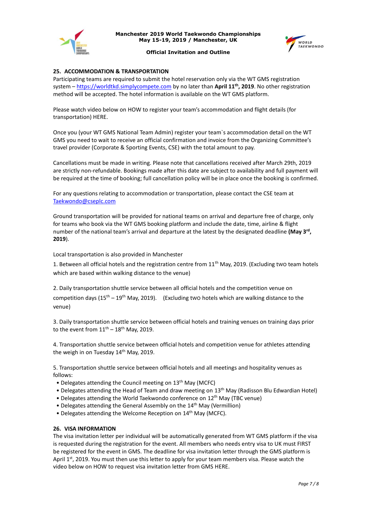



#### **Official Invitation and Outline**

## **25. ACCOMMODATION & TRANSPORTATION**

Participating teams are required to submit the hotel reservation only via the WT GMS registration system – [https://worldtkd.simplycompete.com](https://worldtkd.simplycompete.com/) by no later than April 11<sup>th</sup>, 2019. No other registration method will be accepted. The hotel information is available on the WT GMS platform.

Please watch video below on HOW to register your team's accommodation and flight details (for transportation) HERE.

Once you (your WT GMS National Team Admin) register your team`s accommodation detail on the WT GMS you need to wait to receive an official confirmation and invoice from the Organizing Committee's travel provider (Corporate & Sporting Events, CSE) with the total amount to pay.

Cancellations must be made in writing. Please note that cancellations received after March 29th, 2019 are strictly non-refundable. Bookings made after this date are subject to availability and full payment will be required at the time of booking; full cancellation policy will be in place once the booking is confirmed.

For any questions relating to accommodation or transportation, please contact the CSE team at [Taekwondo@cseplc.com](mailto:Taekwondo@cseplc.com)

Ground transportation will be provided for national teams on arrival and departure free of charge, only for teams who book via the WT GMS booking platform and include the date, time, airline & flight number of the national team's arrival and departure at the latest by the designated deadline **(May 3rd , 2019**).

Local transportation is also provided in Manchester

1. Between all official hotels and the registration centre from  $11<sup>th</sup>$  May, 2019. (Excluding two team hotels which are based within walking distance to the venue)

2. Daily transportation shuttle service between all official hotels and the competition venue on competition days  $(15^{th} - 19^{th}$  May, 2019). (Excluding two hotels which are walking distance to the venue)

3. Daily transportation shuttle service between official hotels and training venues on training days prior to the event from  $11<sup>th</sup> - 18<sup>th</sup>$  May, 2019.

4. Transportation shuttle service between official hotels and competition venue for athletes attending the weigh in on Tuesday 14<sup>th</sup> May, 2019.

5. Transportation shuttle service between official hotels and all meetings and hospitality venues as follows:

- Delegates attending the Council meeting on 13<sup>th</sup> May (MCFC)
- Delegates attending the Head of Team and draw meeting on 13<sup>th</sup> May (Radisson Blu Edwardian Hotel)
- Delegates attending the World Taekwondo conference on 12<sup>th</sup> May (TBC venue)
- Delegates attending the General Assembly on the 14<sup>th</sup> May (Vermillion)
- Delegates attending the Welcome Reception on  $14<sup>th</sup>$  May (MCFC).

## **26. VISA INFORMATION**

The visa invitation letter per individual will be automatically generated from WT GMS platform if the visa is requested during the registration for the event. All members who needs entry visa to UK must FIRST be registered for the event in GMS. The deadline for visa invitation letter through the GMS platform is April  $1^{st}$ , 2019. You must then use this letter to apply for your team members visa. Please watch the video below on HOW to request visa invitation letter from GMS [HERE.](https://youtu.be/R7DioD3Ry20)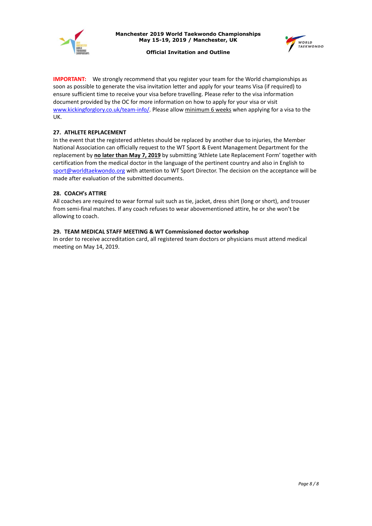



**Official Invitation and Outline**

**IMPORTANT:** We strongly recommend that you register your team for the World championships as soon as possible to generate the visa invitation letter and apply for your teams Visa (if required) to ensure sufficient time to receive your visa before travelling. Please refer to the visa information document provided by the OC for more information on how to apply for your visa or visit [www.kickingforglory.co.uk/team-info/.](http://www.kickingforglory.co.uk/team-info/) Please allow minimum 6 weeks when applying for a visa to the UK.

## **27. ATHLETE REPLACEMENT**

In the event that the registered athletes should be replaced by another due to injuries, the Member National Association can officially request to the WT Sport & Event Management Department for the replacement by **no later than May 7, 2019** by submitting 'Athlete Late Replacement Form' together with certification from the medical doctor in the language of the pertinent country and also in English to [sport@worldtaekwondo.org](mailto:sport@worldtaekwondo.org) with attention to WT Sport Director. The decision on the acceptance will be made after evaluation of the submitted documents.

## **28. COACH's ATTIRE**

All coaches are required to wear formal suit such as tie, jacket, dress shirt (long or short), and trouser from semi-final matches. If any coach refuses to wear abovementioned attire, he or she won't be allowing to coach.

## **29. TEAM MEDICAL STAFF MEETING & WT Commissioned doctor workshop**

In order to receive accreditation card, all registered team doctors or physicians must attend medical meeting on May 14, 2019.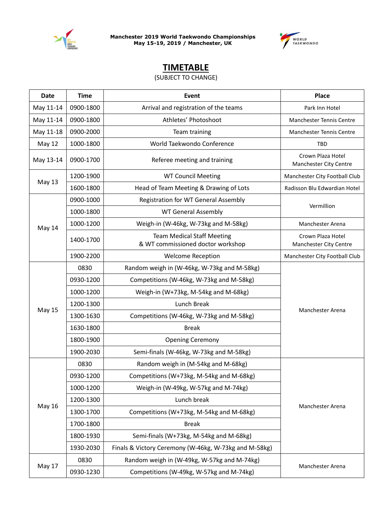



# **TIMETABLE**

## (SUBJECT TO CHANGE)

| <b>Date</b>   | <b>Time</b> | Event                                                                  | <b>Place</b>                                |  |
|---------------|-------------|------------------------------------------------------------------------|---------------------------------------------|--|
| May 11-14     | 0900-1800   | Arrival and registration of the teams                                  | Park Inn Hotel                              |  |
| May 11-14     | 0900-1800   | Athletes' Photoshoot                                                   | Manchester Tennis Centre                    |  |
| May 11-18     | 0900-2000   | Team training                                                          | Manchester Tennis Centre                    |  |
| <b>May 12</b> | 1000-1800   | World Taekwondo Conference                                             | <b>TBD</b>                                  |  |
| May 13-14     | 0900-1700   | Referee meeting and training                                           | Crown Plaza Hotel<br>Manchester City Centre |  |
|               | 1200-1900   | <b>WT Council Meeting</b>                                              | Manchester City Football Club               |  |
| May 13        | 1600-1800   | Head of Team Meeting & Drawing of Lots                                 | Radisson Blu Edwardian Hotel                |  |
|               | 0900-1000   | Registration for WT General Assembly                                   |                                             |  |
|               | 1000-1800   | <b>WT General Assembly</b>                                             | Vermillion                                  |  |
| May 14        | 1000-1200   | Weigh-in (W-46kg, W-73kg and M-58kg)                                   | Manchester Arena                            |  |
|               | 1400-1700   | <b>Team Medical Staff Meeting</b><br>& WT commissioned doctor workshop | Crown Plaza Hotel<br>Manchester City Centre |  |
|               | 1900-2200   | <b>Welcome Reception</b>                                               | Manchester City Football Club               |  |
|               | 0830        | Random weigh in (W-46kg, W-73kg and M-58kg)                            |                                             |  |
|               | 0930-1200   | Competitions (W-46kg, W-73kg and M-58kg)                               |                                             |  |
| <b>May 15</b> | 1000-1200   | Weigh-in (W+73kg, M-54kg and M-68kg)                                   |                                             |  |
|               | 1200-1300   | Lunch Break                                                            |                                             |  |
|               | 1300-1630   | Competitions (W-46kg, W-73kg and M-58kg)                               | Manchester Arena                            |  |
|               | 1630-1800   | <b>Break</b>                                                           |                                             |  |
|               | 1800-1900   | <b>Opening Ceremony</b>                                                |                                             |  |
|               | 1900-2030   | Semi-finals (W-46kg, W-73kg and M-58kg)                                |                                             |  |
|               | 0830        | Random weigh in (M-54kg and M-68kg)                                    |                                             |  |
|               | 0930-1200   | Competitions (W+73kg, M-54kg and M-68kg)                               |                                             |  |
|               | 1000-1200   | Weigh-in (W-49kg, W-57kg and M-74kg)                                   |                                             |  |
|               | 1200-1300   | Lunch break                                                            |                                             |  |
| <b>May 16</b> | 1300-1700   | Competitions (W+73kg, M-54kg and M-68kg)                               | Manchester Arena                            |  |
|               | 1700-1800   | <b>Break</b>                                                           |                                             |  |
|               | 1800-1930   | Semi-finals (W+73kg, M-54kg and M-68kg)                                |                                             |  |
|               | 1930-2030   | Finals & Victory Ceremony (W-46kg, W-73kg and M-58kg)                  |                                             |  |
|               | 0830        | Random weigh in (W-49kg, W-57kg and M-74kg)                            |                                             |  |
| May 17        | 0930-1230   | Competitions (W-49kg, W-57kg and M-74kg)                               | Manchester Arena                            |  |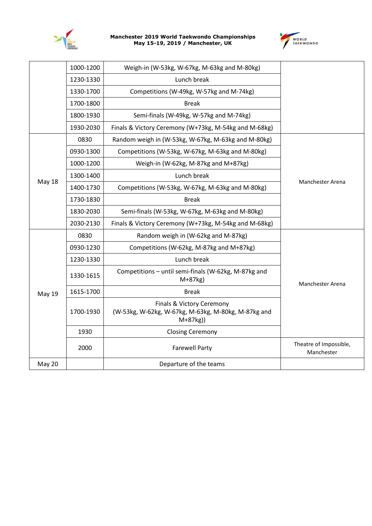



|               | 1000-1200 | Weigh-in (W-53kg, W-67kg, M-63kg and M-80kg)                                                  |                                      |
|---------------|-----------|-----------------------------------------------------------------------------------------------|--------------------------------------|
|               | 1230-1330 | Lunch break                                                                                   |                                      |
|               | 1330-1700 | Competitions (W-49kg, W-57kg and M-74kg)                                                      |                                      |
|               | 1700-1800 | <b>Break</b>                                                                                  |                                      |
|               | 1800-1930 | Semi-finals (W-49kg, W-57kg and M-74kg)                                                       |                                      |
|               | 1930-2030 | Finals & Victory Ceremony (W+73kg, M-54kg and M-68kg)                                         |                                      |
|               | 0830      | Random weigh in (W-53kg, W-67kg, M-63kg and M-80kg)                                           |                                      |
|               | 0930-1300 | Competitions (W-53kg, W-67kg, M-63kg and M-80kg)                                              |                                      |
|               | 1000-1200 | Weigh-in (W-62kg, M-87kg and M+87kg)                                                          |                                      |
|               | 1300-1400 | Lunch break                                                                                   |                                      |
| <b>May 18</b> | 1400-1730 | Competitions (W-53kg, W-67kg, M-63kg and M-80kg)                                              | Manchester Arena                     |
|               | 1730-1830 | <b>Break</b>                                                                                  |                                      |
|               | 1830-2030 | Semi-finals (W-53kg, W-67kg, M-63kg and M-80kg)                                               |                                      |
|               | 2030-2130 | Finals & Victory Ceremony (W+73kg, M-54kg and M-68kg)                                         |                                      |
|               | 0830      | Random weigh in (W-62kg and M-87kg)                                                           |                                      |
|               | 0930-1230 | Competitions (W-62kg, M-87kg and M+87kg)                                                      |                                      |
|               | 1230-1330 | Lunch break                                                                                   |                                      |
|               | 1330-1615 | Competitions - until semi-finals (W-62kg, M-87kg and<br>$M+87kg$                              | Manchester Arena                     |
| <b>May 19</b> | 1615-1700 | <b>Break</b>                                                                                  |                                      |
|               | 1700-1930 | Finals & Victory Ceremony<br>(W-53kg, W-62kg, W-67kg, M-63kg, M-80kg, M-87kg and<br>$M+87kg)$ |                                      |
|               | 1930      | <b>Closing Ceremony</b>                                                                       |                                      |
|               | 2000      | <b>Farewell Party</b>                                                                         | Theatre of Impossible,<br>Manchester |
| May 20        |           | Departure of the teams                                                                        |                                      |